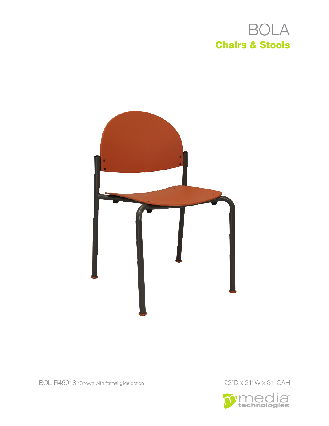# **BOLA Chairs & Stools**



22"D x 21"W x 31"OAH